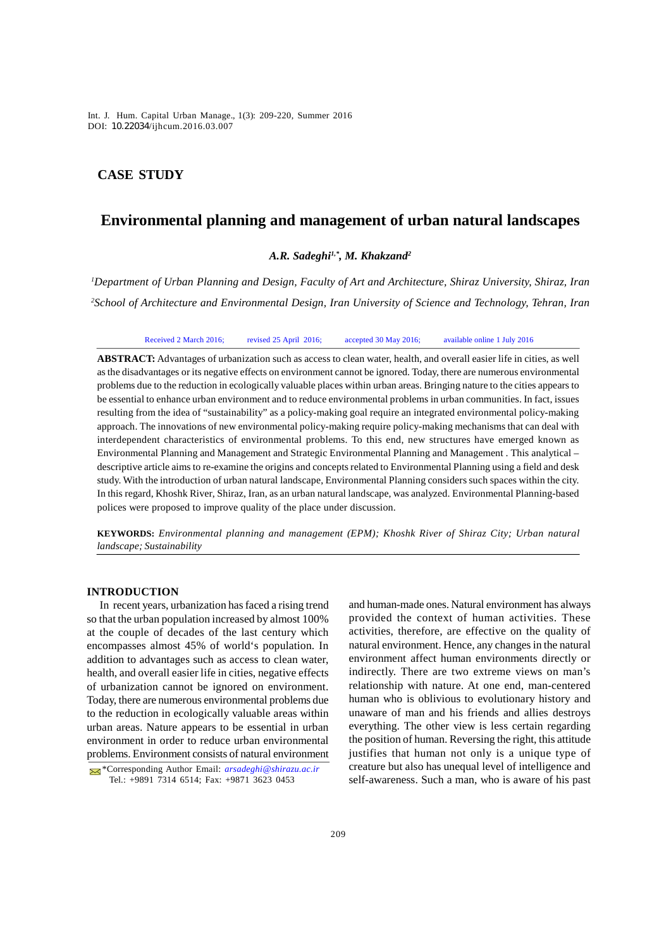*Int. J. Hum. Capital Urban Manage., 1(3): 209-220, Summer 2016* Int. J. Hum. Capital Urban Manage., 1(3): 209-220, Summer 2016 DOI: 10.22034/ijhcum.2016.03.007

## **CASE STUDY**

# **Environmental planning and management of urban natural landscapes**

## *A.R. Sadeghi1,\*, M. Khakzand<sup>2</sup>*

*<sup>1</sup>Department of Urban Planning and Design, Faculty of Art and Architecture, Shiraz University, Shiraz, Iran <sup>2</sup>School of Architecture and Environmental Design, Iran University of Science and Technology, Tehran, Iran*

Received 2 March 2016; revised 25 April 2016; accepted 30 May 2016; available online 1 July 2016

**ABSTRACT:** Advantages of urbanization such as access to clean water, health, and overall easier life in cities, as well as the disadvantages or its negative effects on environment cannot be ignored. Today, there are numerous environmental problems due to the reduction in ecologically valuable places within urban areas. Bringing nature to the cities appears to be essential to enhance urban environment and to reduce environmental problems in urban communities. In fact, issues resulting from the idea of "sustainability" as a policy-making goal require an integrated environmental policy-making approach. The innovations of new environmental policy-making require policy-making mechanisms that can deal with interdependent characteristics of environmental problems. To this end, new structures have emerged known as Environmental Planning and Management and Strategic Environmental Planning and Management . This analytical – descriptive article aims to re-examine the origins and concepts related to Environmental Planning using a field and desk study. With the introduction of urban natural landscape, Environmental Planning considers such spaces within the city. In this regard, Khoshk River, Shiraz, Iran, as an urban natural landscape, was analyzed. Environmental Planning-based polices were proposed to improve quality of the place under discussion.

**KEYWORDS:** *Environmental planning and management (EPM); Khoshk River of Shiraz City; Urban natural landscape; Sustainability*

#### **INTRODUCTION**

In recent years, urbanization has faced a rising trend so that the urban population increased by almost 100% at the couple of decades of the last century which encompasses almost 45% of world's population. In addition to advantages such as access to clean water, health, and overall easier life in cities, negative effects of urbanization cannot be ignored on environment. Today, there are numerous environmental problems due to the reduction in ecologically valuable areas within urban areas. Nature appears to be essential in urban environment in order to reduce urban environmental problems. Environment consists of natural environment

and human-made ones. Natural environment has always provided the context of human activities. These activities, therefore, are effective on the quality of natural environment. Hence, any changes in the natural environment affect human environments directly or indirectly. There are two extreme views on man's relationship with nature. At one end, man-centered human who is oblivious to evolutionary history and unaware of man and his friends and allies destroys everything. The other view is less certain regarding the position of human. Reversing the right, this attitude justifies that human not only is a unique type of creature but also has unequal level of intelligence and self-awareness. Such a man, who is aware of his past

<sup>\*</sup>Corresponding Author Email: *arsadeghi@shirazu.ac.ir* Tel.: +9891 7314 6514; Fax: +9871 3623 0453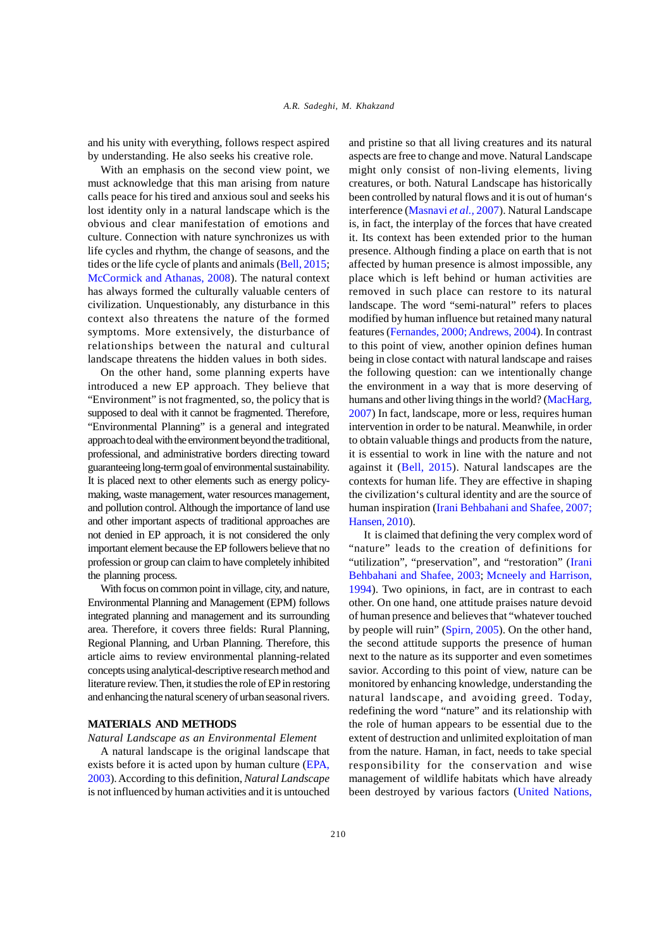and his unity with everything, follows respect aspired by understanding. He also seeks his creative role.

With an emphasis on the second view point, we must acknowledge that this man arising from nature calls peace for his tired and anxious soul and seeks his lost identity only in a natural landscape which is the obvious and clear manifestation of emotions and culture. Connection with nature synchronizes us with life cycles and rhythm, the change of seasons, and the tides or the life cycle of plants and animals (Bell, 2015; McCormick and Athanas, 2008). The natural context has always formed the culturally valuable centers of civilization. Unquestionably, any disturbance in this context also threatens the nature of the formed symptoms. More extensively, the disturbance of relationships between the natural and cultural landscape threatens the hidden values in both sides.

On the other hand, some planning experts have introduced a new EP approach. They believe that "Environment" is not fragmented, so, the policy that is supposed to deal with it cannot be fragmented. Therefore, "Environmental Planning" is a general and integrated approach to deal with the environment beyond the traditional, professional, and administrative borders directing toward guaranteeing long-term goal of environmental sustainability. It is placed next to other elements such as energy policymaking, waste management, water resources management, and pollution control. Although the importance of land use and other important aspects of traditional approaches are not denied in EP approach, it is not considered the only important element because the EP followers believe that no profession or group can claim to have completely inhibited the planning process.

With focus on common point in village, city, and nature, Environmental Planning and Management (EPM) follows integrated planning and management and its surrounding area. Therefore, it covers three fields: Rural Planning, Regional Planning, and Urban Planning. Therefore, this article aims to review environmental planning-related concepts using analytical-descriptive research method and literature review. Then, it studies the role of EP in restoring and enhancing the natural scenery of urban seasonal rivers.

#### **MATERIALS AND METHODS**

#### *Natural Landscape as an Environmental Element*

A natural landscape is the original landscape that exists before it is acted upon by human culture (EPA, 2003). According to this definition, *Natural Landscape* is not influenced by human activities and it is untouched

and pristine so that all living creatures and its natural aspects are free to change and move. Natural Landscape might only consist of non-living elements, living creatures, or both. Natural Landscape has historically been controlled by natural flows and it is out of human's interference (Masnavi *et al.,* 2007). Natural Landscape is, in fact, the interplay of the forces that have created it. Its context has been extended prior to the human presence. Although finding a place on earth that is not affected by human presence is almost impossible, any place which is left behind or human activities are removed in such place can restore to its natural landscape. The word "semi-natural" refers to places modified by human influence but retained many natural features (Fernandes, 2000; Andrews, 2004). In contrast to this point of view, another opinion defines human being in close contact with natural landscape and raises the following question: can we intentionally change the environment in a way that is more deserving of humans and other living things in the world? (MacHarg, 2007) In fact, landscape, more or less, requires human intervention in order to be natural. Meanwhile, in order to obtain valuable things and products from the nature, it is essential to work in line with the nature and not against it (Bell, 2015). Natural landscapes are the contexts for human life. They are effective in shaping the civilization's cultural identity and are the source of human inspiration (Irani Behbahani and Shafee, 2007; Hansen, 2010).

 It is claimed that defining the very complex word of "nature" leads to the creation of definitions for "utilization", "preservation", and "restoration" (Irani Behbahani and Shafee, 2003; Mcneely and Harrison, 1994). Two opinions, in fact, are in contrast to each other. On one hand, one attitude praises nature devoid of human presence and believes that "whatever touched by people will ruin" (Spirn, 2005). On the other hand, the second attitude supports the presence of human next to the nature as its supporter and even sometimes savior. According to this point of view, nature can be monitored by enhancing knowledge, understanding the natural landscape, and avoiding greed. Today, redefining the word "nature" and its relationship with the role of human appears to be essential due to the extent of destruction and unlimited exploitation of man from the nature. Haman, in fact, needs to take special responsibility for the conservation and wise management of wildlife habitats which have already been destroyed by various factors (United Nations,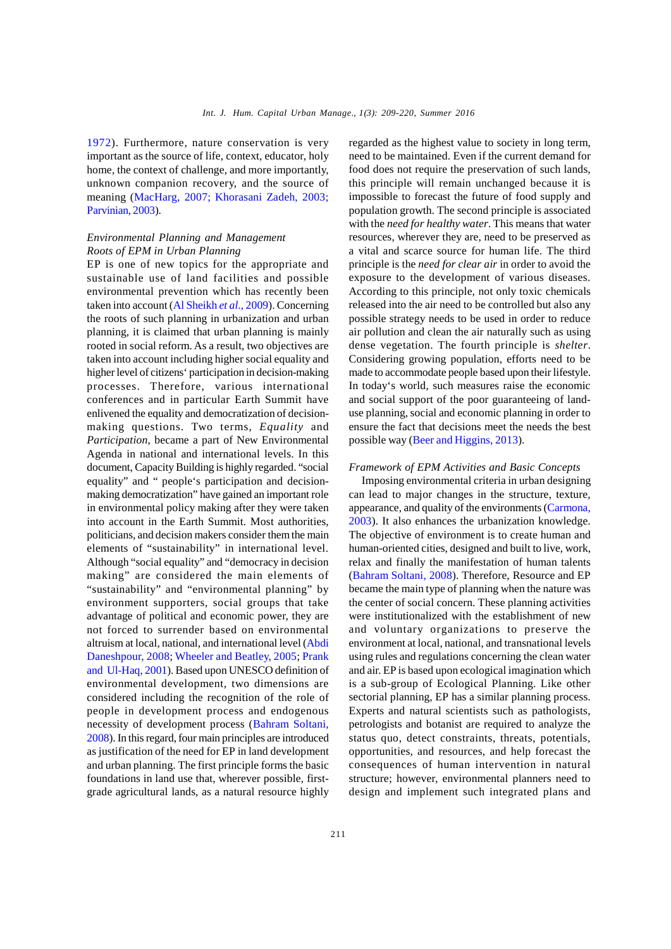1972). Furthermore, nature conservation is very important as the source of life, context, educator, holy home, the context of challenge, and more importantly, unknown companion recovery, and the source of meaning (MacHarg, 2007; Khorasani Zadeh, 2003; Parvinian, 2003).

## *Environmental Planning and Management Roots of EPM in Urban Planning*

EP is one of new topics for the appropriate and sustainable use of land facilities and possible environmental prevention which has recently been taken into account (Al Sheikh *et al*., 2009). Concerning the roots of such planning in urbanization and urban planning, it is claimed that urban planning is mainly rooted in social reform. As a result, two objectives are taken into account including higher social equality and higher level of citizens' participation in decision-making processes. Therefore, various international conferences and in particular Earth Summit have enlivened the equality and democratization of decisionmaking questions. Two terms, *Equality* and *Participation*, became a part of New Environmental Agenda in national and international levels. In this document, Capacity Building is highly regarded. "social equality" and " people's participation and decisionmaking democratization" have gained an important role in environmental policy making after they were taken into account in the Earth Summit. Most authorities, politicians, and decision makers consider them the main elements of "sustainability" in international level. Although "social equality" and "democracy in decision making" are considered the main elements of "sustainability" and "environmental planning" by environment supporters, social groups that take advantage of political and economic power, they are not forced to surrender based on environmental altruism at local, national, and international level (Abdi Daneshpour, 2008; Wheeler and Beatley, 2005; Prank and Ul-Haq, 2001). Based upon UNESCO definition of environmental development, two dimensions are considered including the recognition of the role of people in development process and endogenous necessity of development process (Bahram Soltani, 2008). In this regard, four main principles are introduced as justification of the need for EP in land development and urban planning. The first principle forms the basic foundations in land use that, wherever possible, firstgrade agricultural lands, as a natural resource highly

regarded as the highest value to society in long term, need to be maintained. Even if the current demand for food does not require the preservation of such lands, this principle will remain unchanged because it is impossible to forecast the future of food supply and population growth. The second principle is associated with the *need for healthy water*. This means that water resources, wherever they are, need to be preserved as a vital and scarce source for human life. The third principle is the *need for clear air* in order to avoid the exposure to the development of various diseases. According to this principle, not only toxic chemicals released into the air need to be controlled but also any possible strategy needs to be used in order to reduce air pollution and clean the air naturally such as using dense vegetation. The fourth principle is *shelter*. Considering growing population, efforts need to be made to accommodate people based upon their lifestyle. In today's world, such measures raise the economic and social support of the poor guaranteeing of landuse planning, social and economic planning in order to ensure the fact that decisions meet the needs the best possible way (Beer and Higgins, 2013).

#### *Framework of EPM Activities and Basic Concepts*

Imposing environmental criteria in urban designing can lead to major changes in the structure, texture, appearance, and quality of the environments (Carmona, 2003). It also enhances the urbanization knowledge. The objective of environment is to create human and human-oriented cities, designed and built to live, work, relax and finally the manifestation of human talents (Bahram Soltani, 2008). Therefore, Resource and EP became the main type of planning when the nature was the center of social concern. These planning activities were institutionalized with the establishment of new and voluntary organizations to preserve the environment at local, national, and transnational levels using rules and regulations concerning the clean water and air. EP is based upon ecological imagination which is a sub-group of Ecological Planning. Like other sectorial planning, EP has a similar planning process. Experts and natural scientists such as pathologists, petrologists and botanist are required to analyze the status quo, detect constraints, threats, potentials, opportunities, and resources, and help forecast the consequences of human intervention in natural structure; however, environmental planners need to design and implement such integrated plans and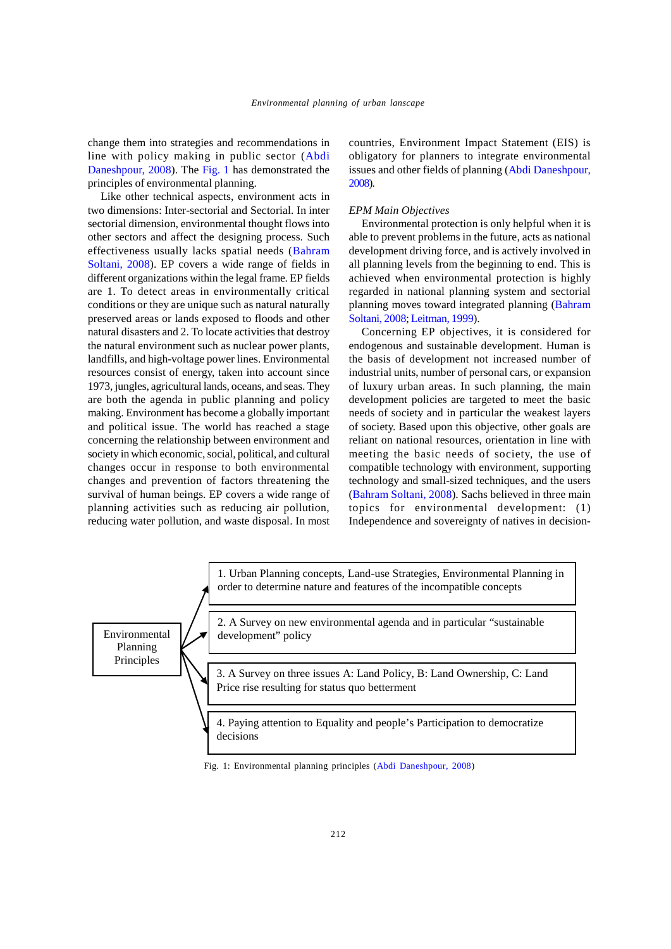change them into strategies and recommendations in line with policy making in public sector (Abdi Daneshpour, 2008). The Fig. 1 has demonstrated the principles of environmental planning.

Like other technical aspects, environment acts in two dimensions: Inter-sectorial and Sectorial. In inter sectorial dimension, environmental thought flows into other sectors and affect the designing process. Such effectiveness usually lacks spatial needs (Bahram Soltani, 2008). EP covers a wide range of fields in different organizations within the legal frame. EP fields are 1. To detect areas in environmentally critical conditions or they are unique such as natural naturally preserved areas or lands exposed to floods and other natural disasters and 2. To locate activities that destroy the natural environment such as nuclear power plants, landfills, and high-voltage power lines. Environmental resources consist of energy, taken into account since 1973, jungles, agricultural lands, oceans, and seas. They are both the agenda in public planning and policy making. Environment has become a globally important and political issue. The world has reached a stage concerning the relationship between environment and society in which economic, social, political, and cultural changes occur in response to both environmental changes and prevention of factors threatening the survival of human beings. EP covers a wide range of planning activities such as reducing air pollution, reducing water pollution, and waste disposal. In most

countries, Environment Impact Statement (EIS) is obligatory for planners to integrate environmental issues and other fields of planning (Abdi Daneshpour, 2008).

#### *EPM Main Objectives*

Environmental protection is only helpful when it is able to prevent problems in the future, acts as national development driving force, and is actively involved in all planning levels from the beginning to end. This is achieved when environmental protection is highly regarded in national planning system and sectorial planning moves toward integrated planning (Bahram Soltani, 2008; Leitman, 1999).

Concerning EP objectives, it is considered for endogenous and sustainable development. Human is the basis of development not increased number of industrial units, number of personal cars, or expansion of luxury urban areas. In such planning, the main development policies are targeted to meet the basic needs of society and in particular the weakest layers of society. Based upon this objective, other goals are reliant on national resources, orientation in line with meeting the basic needs of society, the use of compatible technology with environment, supporting technology and small-sized techniques, and the users (Bahram Soltani, 2008). Sachs believed in three main topics for environmental development: (1) Independence and sovereignty of natives in decision-

Environmental Planning Principles 1. Urban Planning concepts, Land-use Strategies, Environmental Planning in order to determine nature and features of the incompatible concepts 2. A Survey on new environmental agenda and in particular "sustainable development" policy 3. A Survey on three issues A: Land Policy, B: Land Ownership, C: Land Price rise resulting for status quo betterment 4. Paying attention to Equality and people's Participation to democratize decisions

Fig. 1: Environmental planning principles (Abdi Daneshpour, 2008)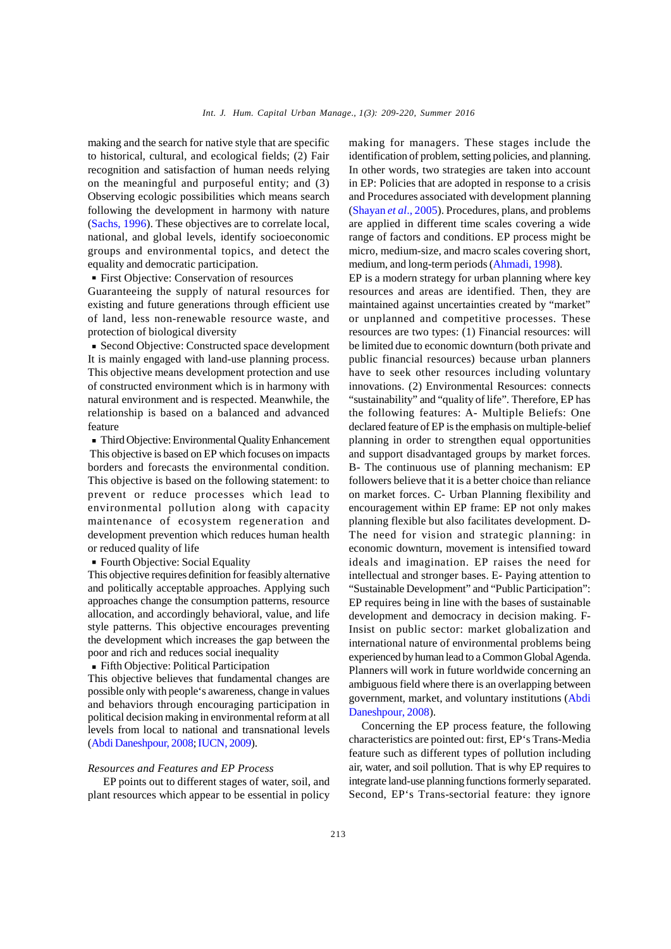making and the search for native style that are specific to historical, cultural, and ecological fields; (2) Fair recognition and satisfaction of human needs relying on the meaningful and purposeful entity; and (3) Observing ecologic possibilities which means search following the development in harmony with nature (Sachs, 1996). These objectives are to correlate local, national, and global levels, identify socioeconomic groups and environmental topics, and detect the equality and democratic participation.

First Objective: Conservation of resources

Guaranteeing the supply of natural resources for existing and future generations through efficient use of land, less non-renewable resource waste, and protection of biological diversity

Second Objective: Constructed space development It is mainly engaged with land-use planning process. This objective means development protection and use of constructed environment which is in harmony with natural environment and is respected. Meanwhile, the relationship is based on a balanced and advanced feature

Third Objective: Environmental Quality Enhancement This objective is based on EP which focuses on impacts borders and forecasts the environmental condition. This objective is based on the following statement: to prevent or reduce processes which lead to environmental pollution along with capacity maintenance of ecosystem regeneration and development prevention which reduces human health or reduced quality of life

Fourth Objective: Social Equality

This objective requires definition for feasibly alternative and politically acceptable approaches. Applying such approaches change the consumption patterns, resource allocation, and accordingly behavioral, value, and life style patterns. This objective encourages preventing the development which increases the gap between the poor and rich and reduces social inequality

Fifth Objective: Political Participation

This objective believes that fundamental changes are possible only with people's awareness, change in values and behaviors through encouraging participation in political decision making in environmental reform at all levels from local to national and transnational levels (Abdi Daneshpour, 2008;IUCN, 2009).

#### *Resources and Features and EP Process*

 EP points out to different stages of water, soil, and plant resources which appear to be essential in policy

making for managers. These stages include the identification of problem, setting policies, and planning. In other words, two strategies are taken into account in EP: Policies that are adopted in response to a crisis and Procedures associated with development planning (Shayan *et al*., 2005). Procedures, plans, and problems are applied in different time scales covering a wide range of factors and conditions. EP process might be micro, medium-size, and macro scales covering short, medium, and long-term periods (Ahmadi, 1998).

EP is a modern strategy for urban planning where key resources and areas are identified. Then, they are maintained against uncertainties created by "market" or unplanned and competitive processes. These resources are two types: (1) Financial resources: will be limited due to economic downturn (both private and public financial resources) because urban planners have to seek other resources including voluntary innovations. (2) Environmental Resources: connects "sustainability" and "quality of life". Therefore, EP has the following features: A- Multiple Beliefs: One declared feature of EP is the emphasis on multiple-belief planning in order to strengthen equal opportunities and support disadvantaged groups by market forces. B- The continuous use of planning mechanism: EP followers believe that it is a better choice than reliance on market forces. C- Urban Planning flexibility and encouragement within EP frame: EP not only makes planning flexible but also facilitates development. D-The need for vision and strategic planning: in economic downturn, movement is intensified toward ideals and imagination. EP raises the need for intellectual and stronger bases. E- Paying attention to "Sustainable Development" and "Public Participation": EP requires being in line with the bases of sustainable development and democracy in decision making. F-Insist on public sector: market globalization and international nature of environmental problems being experienced by human lead to a Common Global Agenda. Planners will work in future worldwide concerning an ambiguous field where there is an overlapping between government, market, and voluntary institutions (Abdi Daneshpour, 2008).

Concerning the EP process feature, the following characteristics are pointed out: first, EP's Trans-Media feature such as different types of pollution including air, water, and soil pollution. That is why EP requires to integrate land-use planning functions formerly separated. Second, EP's Trans-sectorial feature: they ignore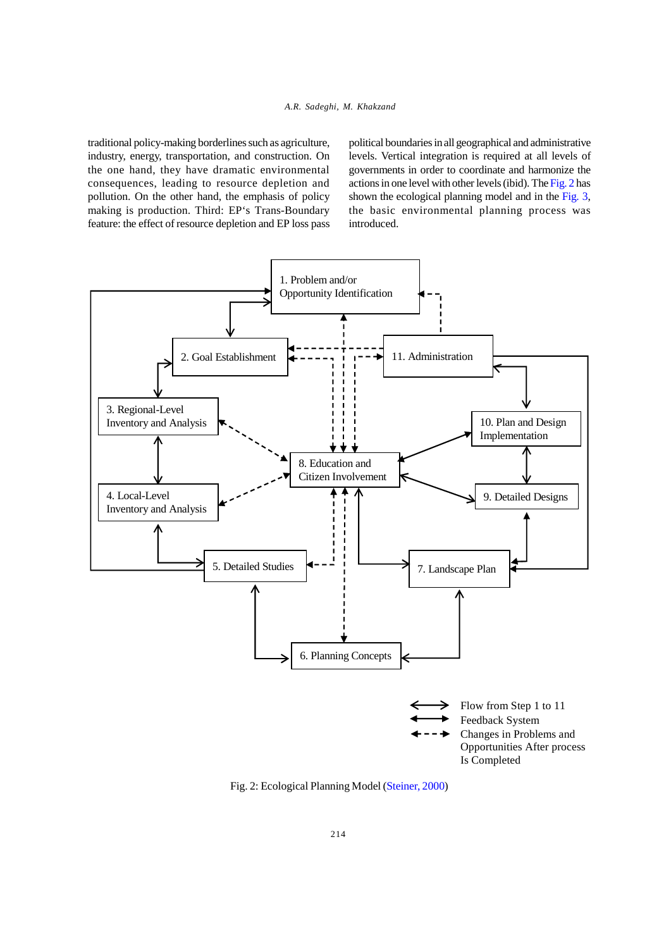traditional policy-making borderlines such as agriculture, industry, energy, transportation, and construction. On the one hand, they have dramatic environmental consequences, leading to resource depletion and pollution. On the other hand, the emphasis of policy making is production. Third: EP's Trans-Boundary feature: the effect of resource depletion and EP loss pass political boundaries in all geographical and administrative levels. Vertical integration is required at all levels of governments in order to coordinate and harmonize the actions in one level with other levels (ibid). The Fig. 2 has shown the ecological planning model and in the Fig. 3, the basic environmental planning process was introduced.



Fig. 2: Ecological Planning Model (Steiner, 2000)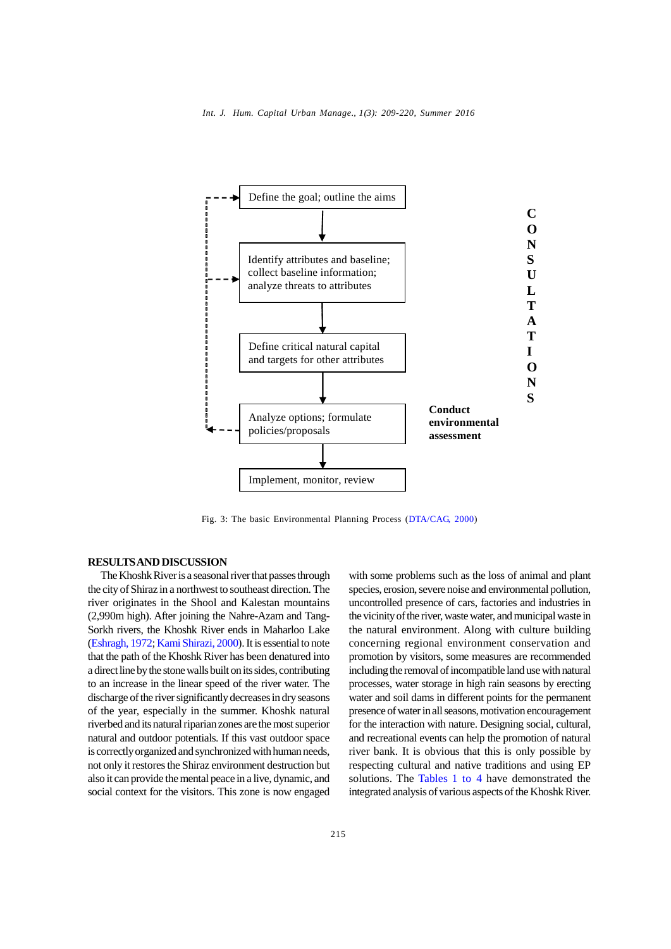

Fig. 3: The basic Environmental Planning Process (DTA/CAG, 2000)

#### **RESULTS AND DISCUSSION**

The Khoshk River is a seasonal river that passes through the city of Shiraz in a northwest to southeast direction. The river originates in the Shool and Kalestan mountains (2,990m high). After joining the Nahre-Azam and Tang-Sorkh rivers, the Khoshk River ends in Maharloo Lake (Eshragh, 1972; Kami Shirazi, 2000). It is essential to note that the path of the Khoshk River has been denatured into a direct line by the stone walls built on its sides, contributing to an increase in the linear speed of the river water. The discharge of the river significantly decreases in dry seasons of the year, especially in the summer. Khoshk natural riverbed and its natural riparian zones are the most superior natural and outdoor potentials. If this vast outdoor space is correctly organized and synchronized with human needs, not only it restores the Shiraz environment destruction but also it can provide the mental peace in a live, dynamic, and social context for the visitors. This zone is now engaged

with some problems such as the loss of animal and plant species, erosion, severe noise and environmental pollution, uncontrolled presence of cars, factories and industries in the vicinity of the river, waste water, and municipal waste in the natural environment. Along with culture building concerning regional environment conservation and promotion by visitors, some measures are recommended including the removal of incompatible land use with natural processes, water storage in high rain seasons by erecting water and soil dams in different points for the permanent presence of water in all seasons, motivation encouragement for the interaction with nature. Designing social, cultural, and recreational events can help the promotion of natural river bank. It is obvious that this is only possible by respecting cultural and native traditions and using EP solutions. The Tables 1 to 4 have demonstrated the integrated analysis of various aspects of the Khoshk River.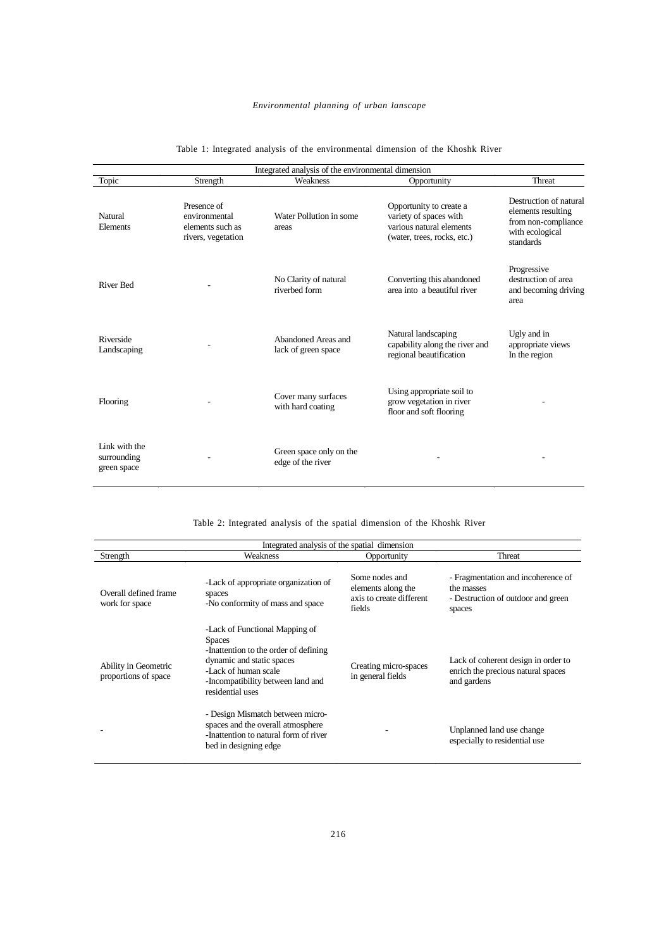# *Environmental planning of urban lanscape*

| Integrated analysis of the environmental dimension |                                                                        |                                              |                                                                                                              |                                                                                                     |
|----------------------------------------------------|------------------------------------------------------------------------|----------------------------------------------|--------------------------------------------------------------------------------------------------------------|-----------------------------------------------------------------------------------------------------|
| Topic                                              | Strength                                                               | Weakness                                     | Opportunity                                                                                                  | Threat                                                                                              |
| Natural<br>Elements                                | Presence of<br>environmental<br>elements such as<br>rivers, vegetation | Water Pollution in some<br>areas             | Opportunity to create a<br>variety of spaces with<br>various natural elements<br>(water, trees, rocks, etc.) | Destruction of natural<br>elements resulting<br>from non-compliance<br>with ecological<br>standards |
| <b>River Bed</b>                                   |                                                                        | No Clarity of natural<br>riverbed form       | Converting this abandoned<br>area into a beautiful river                                                     | Progressive<br>destruction of area<br>and becoming driving<br>area                                  |
| Riverside<br>Landscaping                           |                                                                        | Abandoned Areas and<br>lack of green space   | Natural landscaping<br>capability along the river and<br>regional beautification                             | Ugly and in<br>appropriate views<br>In the region                                                   |
| Flooring                                           |                                                                        | Cover many surfaces<br>with hard coating     | Using appropriate soil to<br>grow vegetation in river<br>floor and soft flooring                             |                                                                                                     |
| Link with the<br>surrounding<br>green space        |                                                                        | Green space only on the<br>edge of the river |                                                                                                              |                                                                                                     |

## Table 1: Integrated analysis of the environmental dimension of the Khoshk River

Table 2: Integrated analysis of the spatial dimension of the Khoshk River

| Integrated analysis of the spatial dimension |                                                                                                                                                                                                        |                                                                            |                                                                                                  |
|----------------------------------------------|--------------------------------------------------------------------------------------------------------------------------------------------------------------------------------------------------------|----------------------------------------------------------------------------|--------------------------------------------------------------------------------------------------|
| Strength                                     | Weakness                                                                                                                                                                                               | Opportunity                                                                | Threat                                                                                           |
| Overall defined frame<br>work for space      | -Lack of appropriate organization of<br>spaces<br>-No conformity of mass and space                                                                                                                     | Some nodes and<br>elements along the<br>axis to create different<br>fields | - Fragmentation and incoherence of<br>the masses<br>- Destruction of outdoor and green<br>spaces |
| Ability in Geometric<br>proportions of space | -Lack of Functional Mapping of<br><b>Spaces</b><br>-Inattention to the order of defining<br>dynamic and static spaces<br>-Lack of human scale<br>-Incompatibility between land and<br>residential uses | Creating micro-spaces<br>in general fields                                 | Lack of coherent design in order to<br>enrich the precious natural spaces<br>and gardens         |
|                                              | - Design Mismatch between micro-<br>spaces and the overall atmosphere<br>-Inattention to natural form of river<br>bed in designing edge                                                                |                                                                            | Unplanned land use change<br>especially to residential use                                       |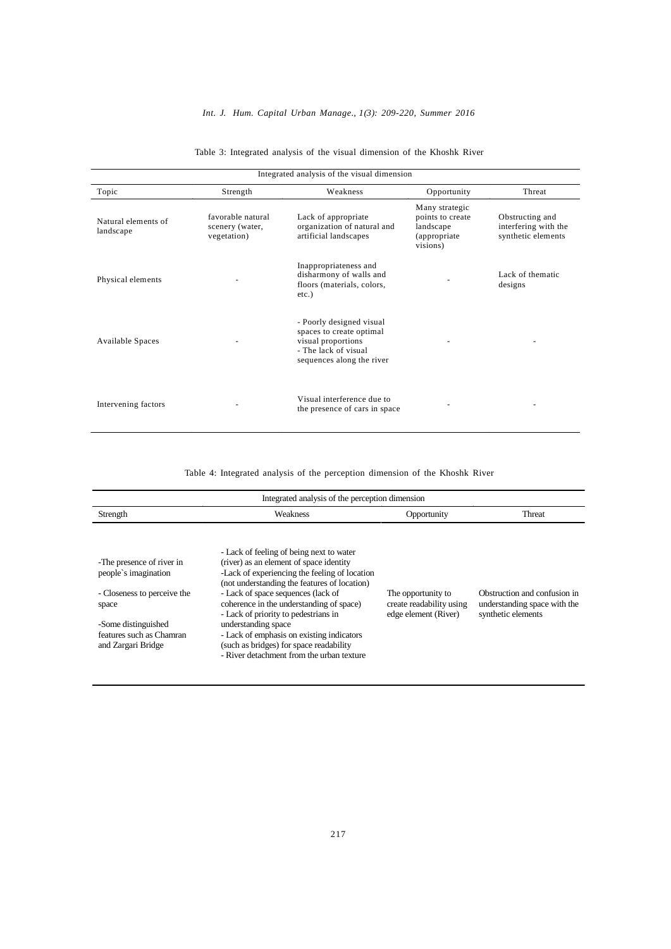## *Int. J. Hum. Capital Urban Manage., 1(3): 209-220, Summer 2016*

| Integrated analysis of the visual dimension |                                                     |                                                                                                                                 |                                                                              |                                                               |
|---------------------------------------------|-----------------------------------------------------|---------------------------------------------------------------------------------------------------------------------------------|------------------------------------------------------------------------------|---------------------------------------------------------------|
| Topic                                       | Strength                                            | Weakness                                                                                                                        | Opportunity                                                                  | Threat                                                        |
| Natural elements of<br>landscape            | favorable natural<br>scenery (water,<br>vegetation) | Lack of appropriate<br>organization of natural and<br>artificial landscapes                                                     | Many strategic<br>points to create<br>landscape<br>(appropriate)<br>visions) | Obstructing and<br>interfering with the<br>synthetic elements |
| Physical elements                           |                                                     | Inappropriateness and<br>disharmony of walls and<br>floors (materials, colors,<br>$etc.$ )                                      |                                                                              | Lack of thematic<br>designs                                   |
| Available Spaces                            |                                                     | - Poorly designed visual<br>spaces to create optimal<br>visual proportions<br>- The lack of visual<br>sequences along the river |                                                                              |                                                               |
| Intervening factors                         |                                                     | Visual interference due to<br>the presence of cars in space                                                                     |                                                                              |                                                               |

## Table 3: Integrated analysis of the visual dimension of the Khoshk River

Table 4: Integrated analysis of the perception dimension of the Khoshk River

| Integrated analysis of the perception dimension                                                                                                                    |                                                                                                                                                                                                                                                                                                                                                                                                                                                                            |                                                                        |                                                                                    |
|--------------------------------------------------------------------------------------------------------------------------------------------------------------------|----------------------------------------------------------------------------------------------------------------------------------------------------------------------------------------------------------------------------------------------------------------------------------------------------------------------------------------------------------------------------------------------------------------------------------------------------------------------------|------------------------------------------------------------------------|------------------------------------------------------------------------------------|
| Strength                                                                                                                                                           | Weakness                                                                                                                                                                                                                                                                                                                                                                                                                                                                   | Opportunity                                                            | <b>Threat</b>                                                                      |
| -The presence of river in<br>people's imagination<br>- Closeness to perceive the<br>space<br>-Some distinguished<br>features such as Chamran<br>and Zargari Bridge | - Lack of feeling of being next to water<br>(river) as an element of space identity<br>-Lack of experiencing the feeling of location<br>(not understanding the features of location)<br>- Lack of space sequences (lack of<br>coherence in the understanding of space)<br>- Lack of priority to pedestrians in<br>understanding space<br>- Lack of emphasis on existing indicators<br>(such as bridges) for space readability<br>- River detachment from the urban texture | The opportunity to<br>create readability using<br>edge element (River) | Obstruction and confusion in<br>understanding space with the<br>synthetic elements |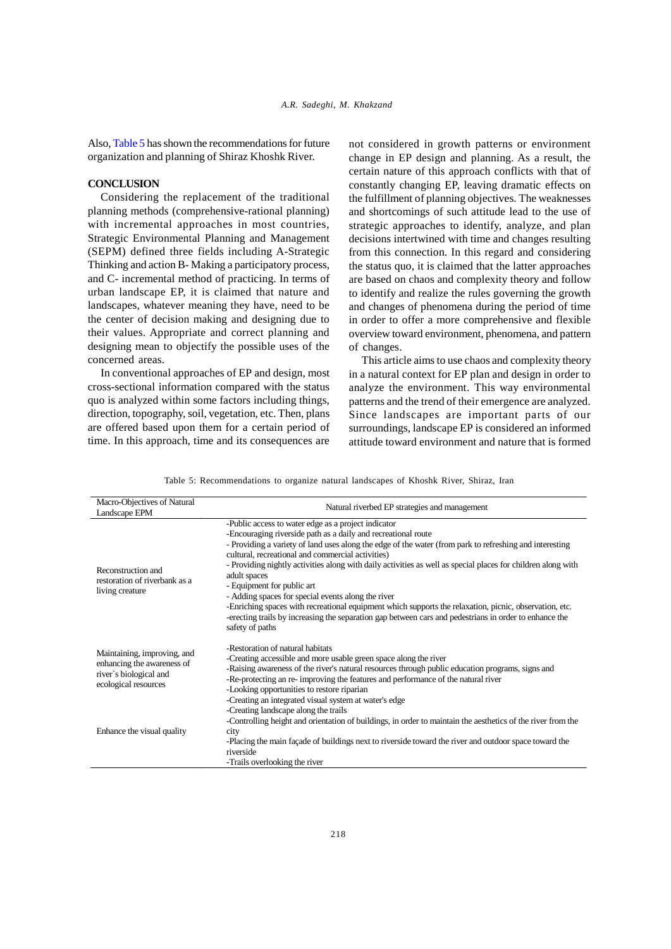Also, Table 5 has shown the recommendations for future organization and planning of Shiraz Khoshk River.

#### **CONCLUSION**

Considering the replacement of the traditional planning methods (comprehensive-rational planning) with incremental approaches in most countries, Strategic Environmental Planning and Management (SEPM) defined three fields including A-Strategic Thinking and action B- Making a participatory process, and C- incremental method of practicing. In terms of urban landscape EP, it is claimed that nature and landscapes, whatever meaning they have, need to be the center of decision making and designing due to their values. Appropriate and correct planning and designing mean to objectify the possible uses of the concerned areas.

In conventional approaches of EP and design, most cross-sectional information compared with the status quo is analyzed within some factors including things, direction, topography, soil, vegetation, etc. Then, plans are offered based upon them for a certain period of time. In this approach, time and its consequences are

not considered in growth patterns or environment change in EP design and planning. As a result, the certain nature of this approach conflicts with that of constantly changing EP, leaving dramatic effects on the fulfillment of planning objectives. The weaknesses and shortcomings of such attitude lead to the use of strategic approaches to identify, analyze, and plan decisions intertwined with time and changes resulting from this connection. In this regard and considering the status quo, it is claimed that the latter approaches are based on chaos and complexity theory and follow to identify and realize the rules governing the growth and changes of phenomena during the period of time in order to offer a more comprehensive and flexible overview toward environment, phenomena, and pattern of changes.

This article aims to use chaos and complexity theory in a natural context for EP plan and design in order to analyze the environment. This way environmental patterns and the trend of their emergence are analyzed. Since landscapes are important parts of our surroundings, landscape EP is considered an informed attitude toward environment and nature that is formed

Table 5: Recommendations to organize natural landscapes of Khoshk River, Shiraz, Iran

| Macro-Objectives of Natural<br>Landscape EPM                                                                | Natural riverbed EP strategies and management                                                                                                                                                                                                                                                                                                                                                                                                                                                                                                                                                                                                                                                                                                   |
|-------------------------------------------------------------------------------------------------------------|-------------------------------------------------------------------------------------------------------------------------------------------------------------------------------------------------------------------------------------------------------------------------------------------------------------------------------------------------------------------------------------------------------------------------------------------------------------------------------------------------------------------------------------------------------------------------------------------------------------------------------------------------------------------------------------------------------------------------------------------------|
| Reconstruction and<br>restoration of riverbank as a<br>living creature                                      | -Public access to water edge as a project indicator<br>-Encouraging riverside path as a daily and recreational route<br>- Providing a variety of land uses along the edge of the water (from park to refreshing and interesting<br>cultural, recreational and commercial activities)<br>- Providing nightly activities along with daily activities as well as special places for children along with<br>adult spaces<br>- Equipment for public art<br>- Adding spaces for special events along the river<br>-Enriching spaces with recreational equipment which supports the relaxation, picnic, observation, etc.<br>-erecting trails by increasing the separation gap between cars and pedestrians in order to enhance the<br>safety of paths |
| Maintaining, improving, and<br>enhancing the awareness of<br>river's biological and<br>ecological resources | -Restoration of natural habitats<br>-Creating accessible and more usable green space along the river<br>-Raising awareness of the river's natural resources through public education programs, signs and<br>-Re-protecting an re-improving the features and performance of the natural river<br>-Looking opportunities to restore riparian<br>-Creating an integrated visual system at water's edge<br>-Creating landscape along the trails                                                                                                                                                                                                                                                                                                     |
| Enhance the visual quality                                                                                  | -Controlling height and orientation of buildings, in order to maintain the aesthetics of the river from the<br>city<br>-Placing the main façade of buildings next to riverside toward the river and outdoor space toward the<br>riverside<br>-Trails overlooking the river                                                                                                                                                                                                                                                                                                                                                                                                                                                                      |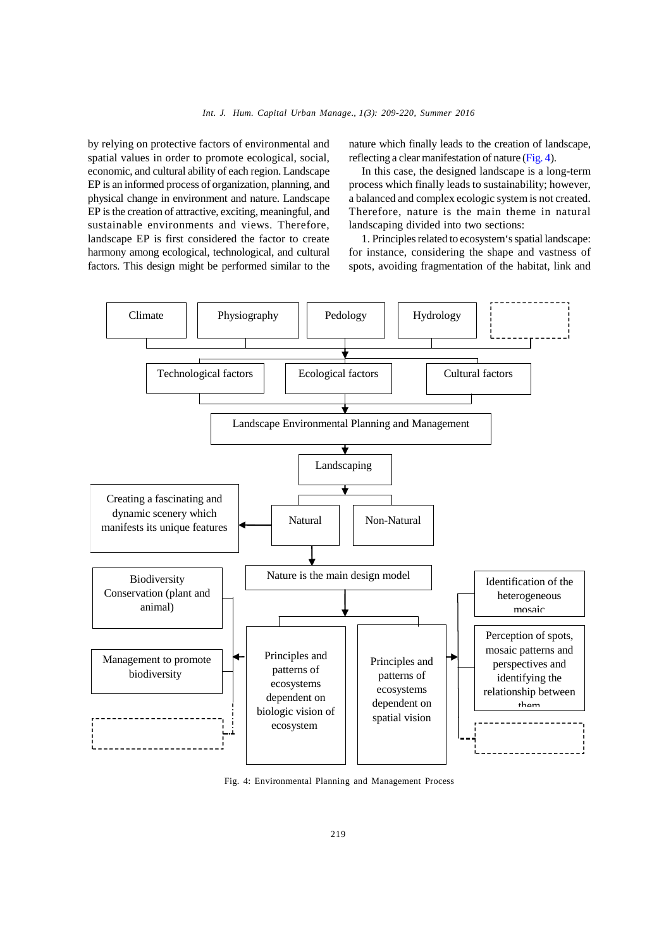by relying on protective factors of environmental and spatial values in order to promote ecological, social, economic, and cultural ability of each region. Landscape EP is an informed process of organization, planning, and physical change in environment and nature. Landscape EP is the creation of attractive, exciting, meaningful, and sustainable environments and views. Therefore, landscape EP is first considered the factor to create harmony among ecological, technological, and cultural factors. This design might be performed similar to the

nature which finally leads to the creation of landscape, reflecting a clear manifestation of nature (Fig. 4).

In this case, the designed landscape is a long-term process which finally leads to sustainability; however, a balanced and complex ecologic system is not created. Therefore, nature is the main theme in natural landscaping divided into two sections:

1. Principles related to ecosystem's spatial landscape: for instance, considering the shape and vastness of spots, avoiding fragmentation of the habitat, link and



Fig. 4: Environmental Planning and Management Process